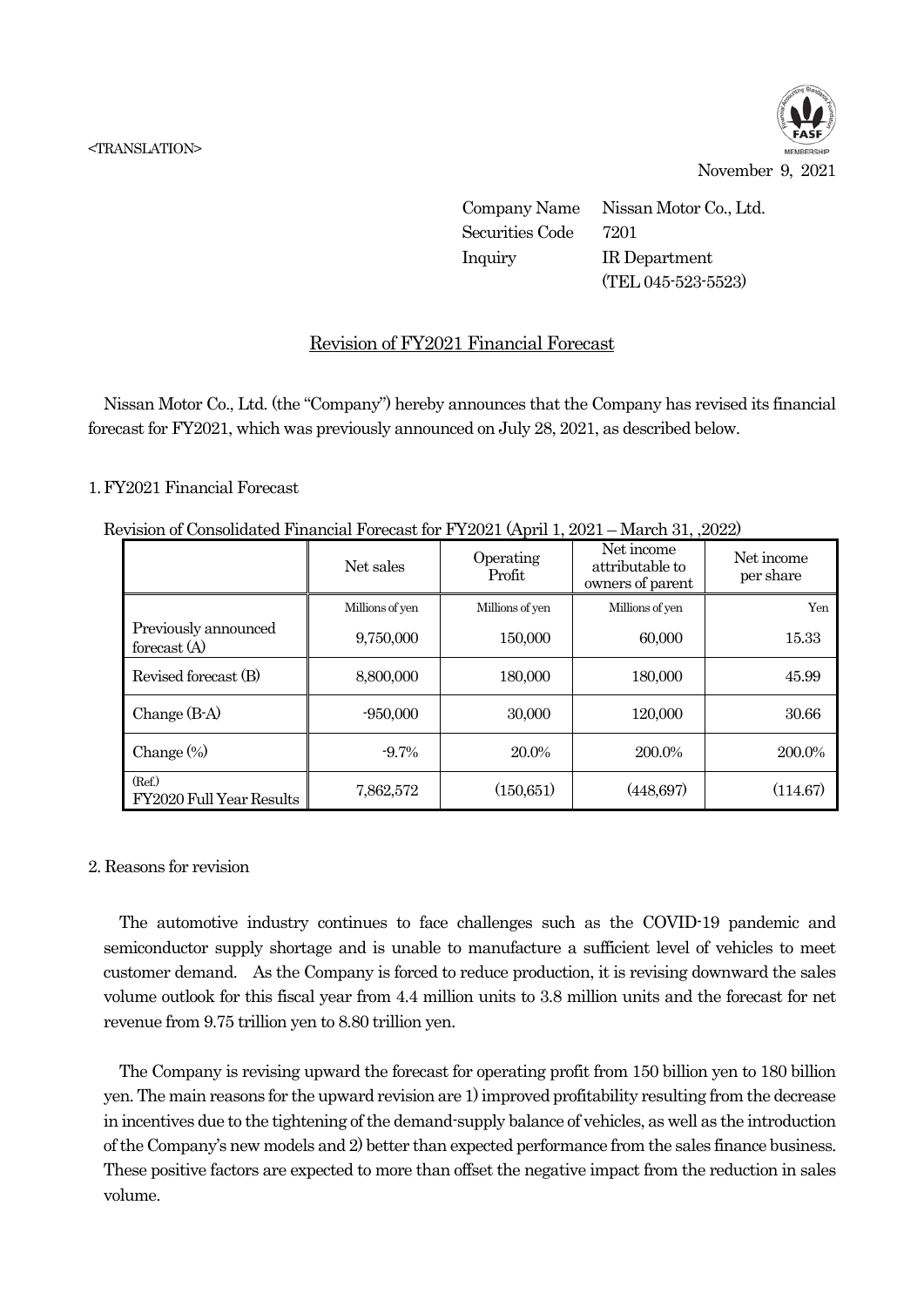

November 9, 2021

Company Name Nissan Motor Co., Ltd. Securities Code 7201 Inquiry IR Department (TEL 045-523-5523)

## Revision of FY2021 Financial Forecast

Nissan Motor Co., Ltd. (the "Company") hereby announces that the Company has revised its financial forecast for FY2021, which was previously announced on July 28, 2021, as described below.

## 1. FY2021 Financial Forecast

|  | Revision of Consolidated Financial Forecast for FY2021 (April 1, 2021 – March 31, 2022) |  |  |  |  |  |  |
|--|-----------------------------------------------------------------------------------------|--|--|--|--|--|--|
|--|-----------------------------------------------------------------------------------------|--|--|--|--|--|--|

|                                        | Net sales       | Operating<br>Profit | Net income<br>attributable to<br>owners of parent | Net income<br>per share |
|----------------------------------------|-----------------|---------------------|---------------------------------------------------|-------------------------|
|                                        | Millions of yen | Millions of yen     | Millions of yen                                   | Yen                     |
| Previously announced<br>forecast $(A)$ | 9,750,000       | 150,000             | 60,000                                            | 15.33                   |
| Revised forecast (B)                   | 8,800,000       | 180,000             | 180,000                                           | 45.99                   |
| Change $(B-A)$                         | $-950,000$      | 30,000              | 120,000                                           | 30.66                   |
| Change $(\%)$                          | $-9.7\%$        | 20.0%               | 200.0%                                            | 200.0%                  |
| (Ref.)<br>FY2020 Full Year Results     | 7,862,572       | (150, 651)          | (448,697)                                         | (114.67)                |

## 2. Reasons for revision

The automotive industry continues to face challenges such as the COVID-19 pandemic and semiconductor supply shortage and is unable to manufacture a sufficient level of vehicles to meet customer demand. As the Company is forced to reduce production, it is revising downward the sales volume outlook for this fiscal year from 4.4 million units to 3.8 million units and the forecast for net revenue from 9.75 trillion yen to 8.80 trillion yen.

The Company is revising upward the forecast for operating profit from 150 billion yen to 180 billion yen. The main reasons for the upward revision are 1) improved profitability resulting from the decrease in incentives due to the tightening of the demand-supply balance of vehicles, as well as the introduction of the Company's new models and 2) better than expected performance from the sales finance business. These positive factors are expected to more than offset the negative impact from the reduction in sales volume.